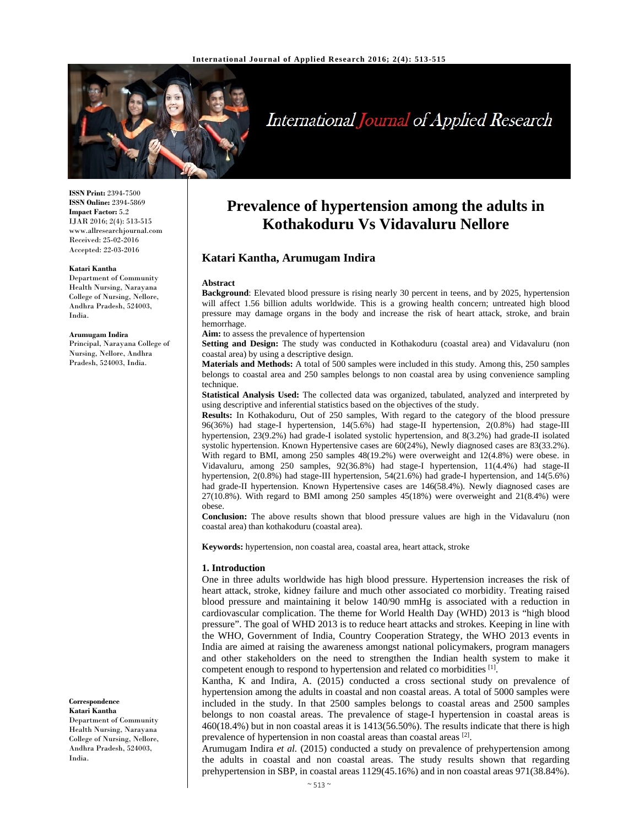

# International Journal of Applied Research

**ISSN Print:** 2394-7500 **ISSN Online:** 2394-5869 **Impact Factor:** 5.2 IJAR 2016; 2(4): 513-515 www.allresearchjournal.com Received: 25-02-2016 Accepted: 22-03-2016

#### **Katari Kantha**

Department of Community Health Nursing, Narayana College of Nursing, Nellore, Andhra Pradesh, 524003, India.

#### **Arumugam Indira**

Principal, Narayana College of Nursing, Nellore, Andhra Pradesh, 524003, India.

**Correspondence Katari Kantha** 

Department of Community Health Nursing, Narayana College of Nursing, Nellore, Andhra Pradesh, 524003, India.

# **Prevalence of hypertension among the adults in Kothakoduru Vs Vidavaluru Nellore**

# **Katari Kantha, Arumugam Indira**

#### **Abstract**

**Background**: Elevated blood pressure is rising nearly 30 percent in teens, and by 2025, hypertension will affect 1.56 billion adults worldwide. This is a growing health concern; untreated high blood pressure may damage organs in the body and increase the risk of heart attack, stroke, and brain hemorrhage.

**Aim:** to assess the prevalence of hypertension

**Setting and Design:** The study was conducted in Kothakoduru (coastal area) and Vidavaluru (non coastal area) by using a descriptive design.

**Materials and Methods:** A total of 500 samples were included in this study. Among this, 250 samples belongs to coastal area and 250 samples belongs to non coastal area by using convenience sampling technique.

**Statistical Analysis Used:** The collected data was organized, tabulated, analyzed and interpreted by using descriptive and inferential statistics based on the objectives of the study.

**Results:** In Kothakoduru, Out of 250 samples, With regard to the category of the blood pressure 96(36%) had stage-I hypertension, 14(5.6%) had stage-II hypertension, 2(0.8%) had stage-III hypertension, 23(9.2%) had grade-I isolated systolic hypertension, and 8(3.2%) had grade-II isolated systolic hypertension. Known Hypertensive cases are 60(24%), Newly diagnosed cases are 83(33.2%). With regard to BMI, among 250 samples 48(19.2%) were overweight and 12(4.8%) were obese. in Vidavaluru, among 250 samples, 92(36.8%) had stage-I hypertension, 11(4.4%) had stage-II hypertension, 2(0.8%) had stage-III hypertension, 54(21.6%) had grade-I hypertension, and 14(5.6%) had grade-II hypertension. Known Hypertensive cases are 146(58.4%). Newly diagnosed cases are 27(10.8%). With regard to BMI among 250 samples 45(18%) were overweight and 21(8.4%) were obese.

**Conclusion:** The above results shown that blood pressure values are high in the Vidavaluru (non coastal area) than kothakoduru (coastal area).

**Keywords:** hypertension, non coastal area, coastal area, heart attack, stroke

#### **1. Introduction**

One in three adults worldwide has high blood pressure. Hypertension increases the risk of heart attack, stroke, kidney failure and much other associated co morbidity. Treating raised blood pressure and maintaining it below 140/90 mmHg is associated with a reduction in cardiovascular complication. The theme for World Health Day (WHD) 2013 is "high blood pressure". The goal of WHD 2013 is to reduce heart attacks and strokes. Keeping in line with the WHO, Government of India, Country Cooperation Strategy, the WHO 2013 events in India are aimed at raising the awareness amongst national policymakers, program managers and other stakeholders on the need to strengthen the Indian health system to make it competent enough to respond to hypertension and related co morbidities [1].

Kantha, K and Indira, A. (2015) conducted a cross sectional study on prevalence of hypertension among the adults in coastal and non coastal areas. A total of 5000 samples were included in the study. In that 2500 samples belongs to coastal areas and 2500 samples belongs to non coastal areas. The prevalence of stage-I hypertension in coastal areas is 460(18.4%) but in non coastal areas it is 1413(56.50%). The results indicate that there is high prevalence of hypertension in non coastal areas than coastal areas [2].

Arumugam Indira *et al.* (2015) conducted a study on prevalence of prehypertension among the adults in coastal and non coastal areas. The study results shown that regarding prehypertension in SBP, in coastal areas 1129(45.16%) and in non coastal areas 971(38.84%).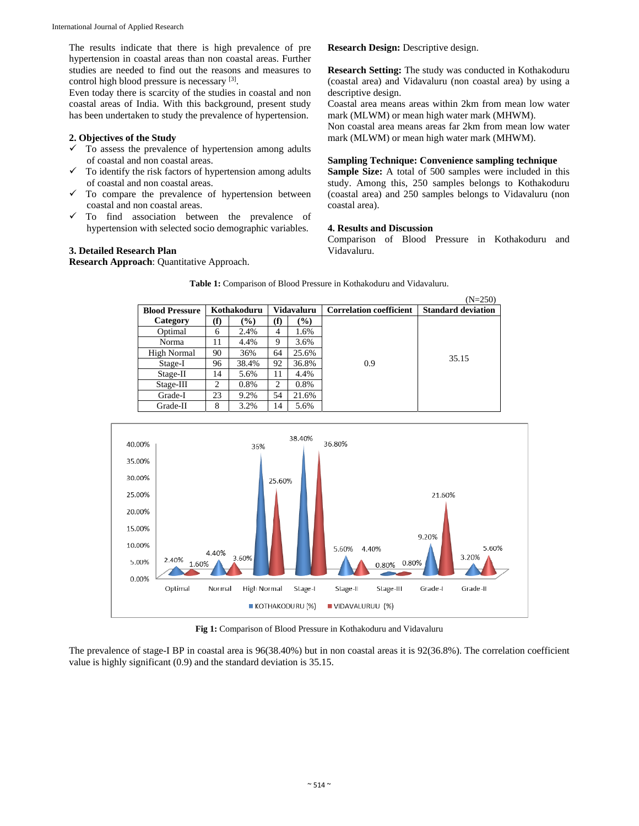The results indicate that there is high prevalence of pre hypertension in coastal areas than non coastal areas. Further studies are needed to find out the reasons and measures to control high blood pressure is necessary [3].

Even today there is scarcity of the studies in coastal and non coastal areas of India. With this background, present study has been undertaken to study the prevalence of hypertension.

## **2. Objectives of the Study**

- $\checkmark$  To assess the prevalence of hypertension among adults of coastal and non coastal areas.
- $\checkmark$  To identify the risk factors of hypertension among adults of coastal and non coastal areas.
- $\checkmark$  To compare the prevalence of hypertension between coastal and non coastal areas.
- $\checkmark$  To find association between the prevalence of hypertension with selected socio demographic variables.

#### **3. Detailed Research Plan**

**Research Approach**: Quantitative Approach.

**Research Design:** Descriptive design.

**Research Setting:** The study was conducted in Kothakoduru (coastal area) and Vidavaluru (non coastal area) by using a descriptive design.

Coastal area means areas within 2km from mean low water mark (MLWM) or mean high water mark (MHWM).

Non coastal area means areas far 2km from mean low water mark (MLWM) or mean high water mark (MHWM).

#### **Sampling Technique: Convenience sampling technique**

**Sample Size:** A total of 500 samples were included in this study. Among this, 250 samples belongs to Kothakoduru (coastal area) and 250 samples belongs to Vidavaluru (non coastal area).

#### **4. Results and Discussion**

Comparison of Blood Pressure in Kothakoduru and Vidavaluru.

|                       |             |       |            |        |                                | $(N=250)$                 |
|-----------------------|-------------|-------|------------|--------|--------------------------------|---------------------------|
| <b>Blood Pressure</b> | Kothakoduru |       | Vidavaluru |        | <b>Correlation coefficient</b> | <b>Standard deviation</b> |
| Category              | (f)         | (%)   | (f)        | $(\%)$ |                                |                           |
| Optimal               | 6           | 2.4%  | 4          | 1.6%   |                                |                           |
| Norma                 | 11          | 4.4%  | 9          | 3.6%   |                                |                           |
| High Normal           | 90          | 36%   | 64         | 25.6%  |                                |                           |
| Stage-I               | 96          | 38.4% | 92         | 36.8%  | 0.9                            | 35.15                     |
| Stage-II              | 14          | 5.6%  | 11         | 4.4%   |                                |                           |
| $Stage-III$           | 2           | 0.8%  | 2          | 0.8%   |                                |                           |
| Grade-I               | 23          | 9.2%  | 54         | 21.6%  |                                |                           |
| Grade-II              | 8           | 3.2%  | 14         | 5.6%   |                                |                           |

**Table 1:** Comparison of Blood Pressure in Kothakoduru and Vidavaluru.



**Fig 1:** Comparison of Blood Pressure in Kothakoduru and Vidavaluru

The prevalence of stage-I BP in coastal area is 96(38.40%) but in non coastal areas it is 92(36.8%). The correlation coefficient value is highly significant (0.9) and the standard deviation is 35.15.